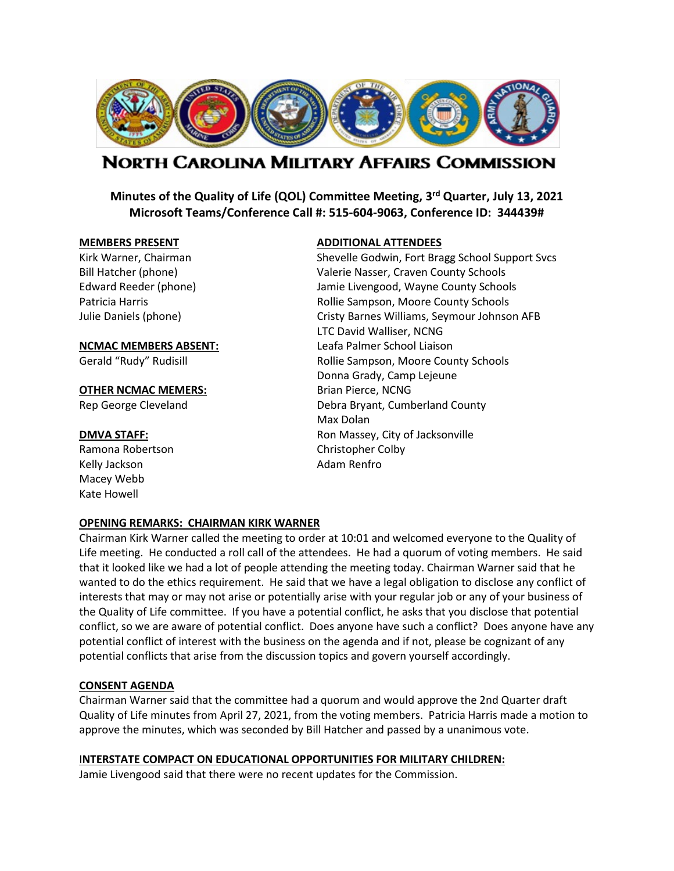

# NORTH CAROLINA MILITARY AFFAIRS COMMISSION

**Minutes of the Quality of Life (QOL) Committee Meeting, 3rd Quarter, July 13, 2021 Microsoft Teams/Conference Call #: 515-604-9063, Conference ID: 344439#**

#### **OTHER NCMAC MEMERS:** Brian Pierce, NCNG

Ramona Robertson Christopher Colby Kelly Jackson **Adam Renfro** Macey Webb Kate Howell

#### **MEMBERS PRESENT ADDITIONAL ATTENDEES**

Kirk Warner, Chairman Shevelle Godwin, Fort Bragg School Support Svcs Bill Hatcher (phone) Valerie Nasser, Craven County Schools Edward Reeder (phone) Jamie Livengood, Wayne County Schools Patricia Harris **No. 2018** Rollie Sampson, Moore County Schools Julie Daniels (phone) Cristy Barnes Williams, Seymour Johnson AFB LTC David Walliser, NCNG **NCMAC MEMBERS ABSENT:** Leafa Palmer School Liaison Gerald "Rudy" Rudisill **Rollie Sampson, Moore County Schools** Donna Grady, Camp Lejeune Rep George Cleveland **Debra Bryant, Cumberland County** Max Dolan **DMVA STAFF: CONSERVING THE STAFF:** Ron Massey, City of Jacksonville

#### **OPENING REMARKS: CHAIRMAN KIRK WARNER**

Chairman Kirk Warner called the meeting to order at 10:01 and welcomed everyone to the Quality of Life meeting. He conducted a roll call of the attendees. He had a quorum of voting members. He said that it looked like we had a lot of people attending the meeting today. Chairman Warner said that he wanted to do the ethics requirement. He said that we have a legal obligation to disclose any conflict of interests that may or may not arise or potentially arise with your regular job or any of your business of the Quality of Life committee. If you have a potential conflict, he asks that you disclose that potential conflict, so we are aware of potential conflict. Does anyone have such a conflict? Does anyone have any potential conflict of interest with the business on the agenda and if not, please be cognizant of any potential conflicts that arise from the discussion topics and govern yourself accordingly.

# **CONSENT AGENDA**

Chairman Warner said that the committee had a quorum and would approve the 2nd Quarter draft Quality of Life minutes from April 27, 2021, from the voting members. Patricia Harris made a motion to approve the minutes, which was seconded by Bill Hatcher and passed by a unanimous vote.

#### I**NTERSTATE COMPACT ON EDUCATIONAL OPPORTUNITIES FOR MILITARY CHILDREN:**

Jamie Livengood said that there were no recent updates for the Commission.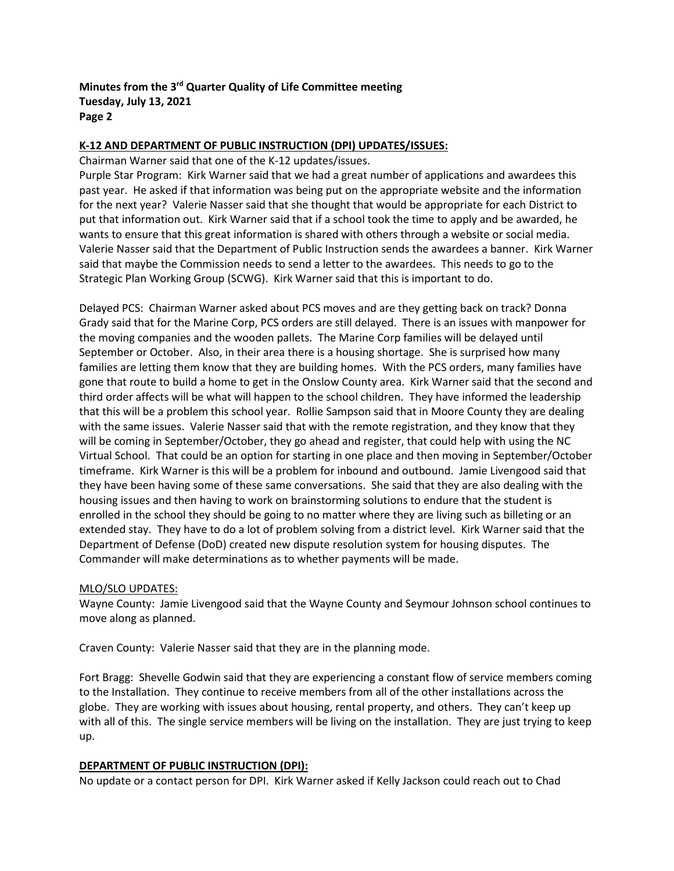# **K-12 AND DEPARTMENT OF PUBLIC INSTRUCTION (DPI) UPDATES/ISSUES:**

Chairman Warner said that one of the K-12 updates/issues.

Purple Star Program: Kirk Warner said that we had a great number of applications and awardees this past year. He asked if that information was being put on the appropriate website and the information for the next year? Valerie Nasser said that she thought that would be appropriate for each District to put that information out. Kirk Warner said that if a school took the time to apply and be awarded, he wants to ensure that this great information is shared with others through a website or social media. Valerie Nasser said that the Department of Public Instruction sends the awardees a banner. Kirk Warner said that maybe the Commission needs to send a letter to the awardees. This needs to go to the Strategic Plan Working Group (SCWG). Kirk Warner said that this is important to do.

Delayed PCS: Chairman Warner asked about PCS moves and are they getting back on track? Donna Grady said that for the Marine Corp, PCS orders are still delayed. There is an issues with manpower for the moving companies and the wooden pallets. The Marine Corp families will be delayed until September or October. Also, in their area there is a housing shortage. She is surprised how many families are letting them know that they are building homes. With the PCS orders, many families have gone that route to build a home to get in the Onslow County area. Kirk Warner said that the second and third order affects will be what will happen to the school children. They have informed the leadership that this will be a problem this school year. Rollie Sampson said that in Moore County they are dealing with the same issues. Valerie Nasser said that with the remote registration, and they know that they will be coming in September/October, they go ahead and register, that could help with using the NC Virtual School. That could be an option for starting in one place and then moving in September/October timeframe. Kirk Warner is this will be a problem for inbound and outbound. Jamie Livengood said that they have been having some of these same conversations. She said that they are also dealing with the housing issues and then having to work on brainstorming solutions to endure that the student is enrolled in the school they should be going to no matter where they are living such as billeting or an extended stay. They have to do a lot of problem solving from a district level. Kirk Warner said that the Department of Defense (DoD) created new dispute resolution system for housing disputes. The Commander will make determinations as to whether payments will be made.

#### MLO/SLO UPDATES:

Wayne County: Jamie Livengood said that the Wayne County and Seymour Johnson school continues to move along as planned.

Craven County: Valerie Nasser said that they are in the planning mode.

Fort Bragg: Shevelle Godwin said that they are experiencing a constant flow of service members coming to the Installation. They continue to receive members from all of the other installations across the globe. They are working with issues about housing, rental property, and others. They can't keep up with all of this. The single service members will be living on the installation. They are just trying to keep up.

#### **DEPARTMENT OF PUBLIC INSTRUCTION (DPI):**

No update or a contact person for DPI. Kirk Warner asked if Kelly Jackson could reach out to Chad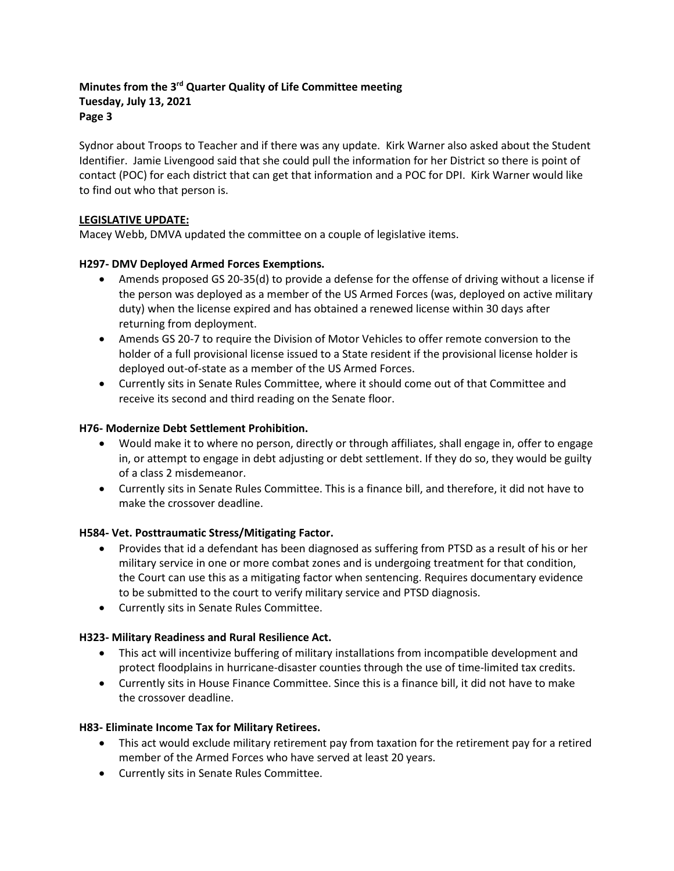Sydnor about Troops to Teacher and if there was any update. Kirk Warner also asked about the Student Identifier. Jamie Livengood said that she could pull the information for her District so there is point of contact (POC) for each district that can get that information and a POC for DPI. Kirk Warner would like to find out who that person is.

# **LEGISLATIVE UPDATE:**

Macey Webb, DMVA updated the committee on a couple of legislative items.

# **H297- DMV Deployed Armed Forces Exemptions.**

- Amends proposed GS 20-35(d) to provide a defense for the offense of driving without a license if the person was deployed as a member of the US Armed Forces (was, deployed on active military duty) when the license expired and has obtained a renewed license within 30 days after returning from deployment.
- Amends GS 20-7 to require the Division of Motor Vehicles to offer remote conversion to the holder of a full provisional license issued to a State resident if the provisional license holder is deployed out-of-state as a member of the US Armed Forces.
- Currently sits in Senate Rules Committee, where it should come out of that Committee and receive its second and third reading on the Senate floor.

# **H76- Modernize Debt Settlement Prohibition.**

- Would make it to where no person, directly or through affiliates, shall engage in, offer to engage in, or attempt to engage in debt adjusting or debt settlement. If they do so, they would be guilty of a class 2 misdemeanor.
- Currently sits in Senate Rules Committee. This is a finance bill, and therefore, it did not have to make the crossover deadline.

# **H584- Vet. Posttraumatic Stress/Mitigating Factor.**

- Provides that id a defendant has been diagnosed as suffering from PTSD as a result of his or her military service in one or more combat zones and is undergoing treatment for that condition, the Court can use this as a mitigating factor when sentencing. Requires documentary evidence to be submitted to the court to verify military service and PTSD diagnosis.
- Currently sits in Senate Rules Committee.

# **H323- Military Readiness and Rural Resilience Act.**

- This act will incentivize buffering of military installations from incompatible development and protect floodplains in hurricane-disaster counties through the use of time-limited tax credits.
- Currently sits in House Finance Committee. Since this is a finance bill, it did not have to make the crossover deadline.

# **H83- Eliminate Income Tax for Military Retirees.**

- This act would exclude military retirement pay from taxation for the retirement pay for a retired member of the Armed Forces who have served at least 20 years.
- Currently sits in Senate Rules Committee.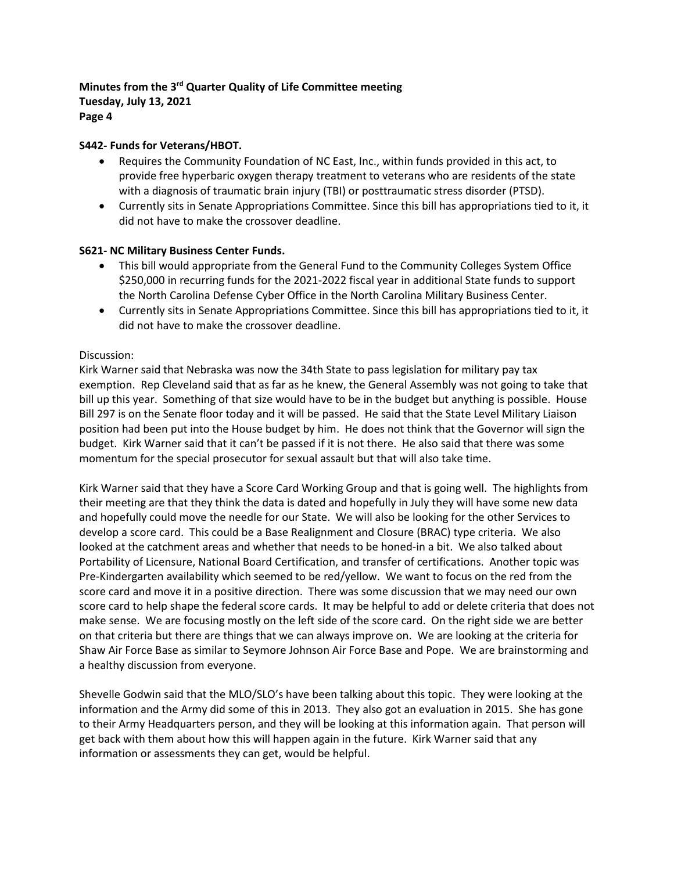# **S442- Funds for Veterans/HBOT.**

- Requires the Community Foundation of NC East, Inc., within funds provided in this act, to provide free hyperbaric oxygen therapy treatment to veterans who are residents of the state with a diagnosis of traumatic brain injury (TBI) or posttraumatic stress disorder (PTSD).
- Currently sits in Senate Appropriations Committee. Since this bill has appropriations tied to it, it did not have to make the crossover deadline.

#### **S621- NC Military Business Center Funds.**

- This bill would appropriate from the General Fund to the Community Colleges System Office \$250,000 in recurring funds for the 2021-2022 fiscal year in additional State funds to support the North Carolina Defense Cyber Office in the North Carolina Military Business Center.
- Currently sits in Senate Appropriations Committee. Since this bill has appropriations tied to it, it did not have to make the crossover deadline.

#### Discussion:

Kirk Warner said that Nebraska was now the 34th State to pass legislation for military pay tax exemption. Rep Cleveland said that as far as he knew, the General Assembly was not going to take that bill up this year. Something of that size would have to be in the budget but anything is possible. House Bill 297 is on the Senate floor today and it will be passed. He said that the State Level Military Liaison position had been put into the House budget by him. He does not think that the Governor will sign the budget. Kirk Warner said that it can't be passed if it is not there. He also said that there was some momentum for the special prosecutor for sexual assault but that will also take time.

Kirk Warner said that they have a Score Card Working Group and that is going well. The highlights from their meeting are that they think the data is dated and hopefully in July they will have some new data and hopefully could move the needle for our State. We will also be looking for the other Services to develop a score card. This could be a Base Realignment and Closure (BRAC) type criteria. We also looked at the catchment areas and whether that needs to be honed-in a bit. We also talked about Portability of Licensure, National Board Certification, and transfer of certifications. Another topic was Pre-Kindergarten availability which seemed to be red/yellow. We want to focus on the red from the score card and move it in a positive direction. There was some discussion that we may need our own score card to help shape the federal score cards. It may be helpful to add or delete criteria that does not make sense. We are focusing mostly on the left side of the score card. On the right side we are better on that criteria but there are things that we can always improve on. We are looking at the criteria for Shaw Air Force Base as similar to Seymore Johnson Air Force Base and Pope. We are brainstorming and a healthy discussion from everyone.

Shevelle Godwin said that the MLO/SLO's have been talking about this topic. They were looking at the information and the Army did some of this in 2013. They also got an evaluation in 2015. She has gone to their Army Headquarters person, and they will be looking at this information again. That person will get back with them about how this will happen again in the future. Kirk Warner said that any information or assessments they can get, would be helpful.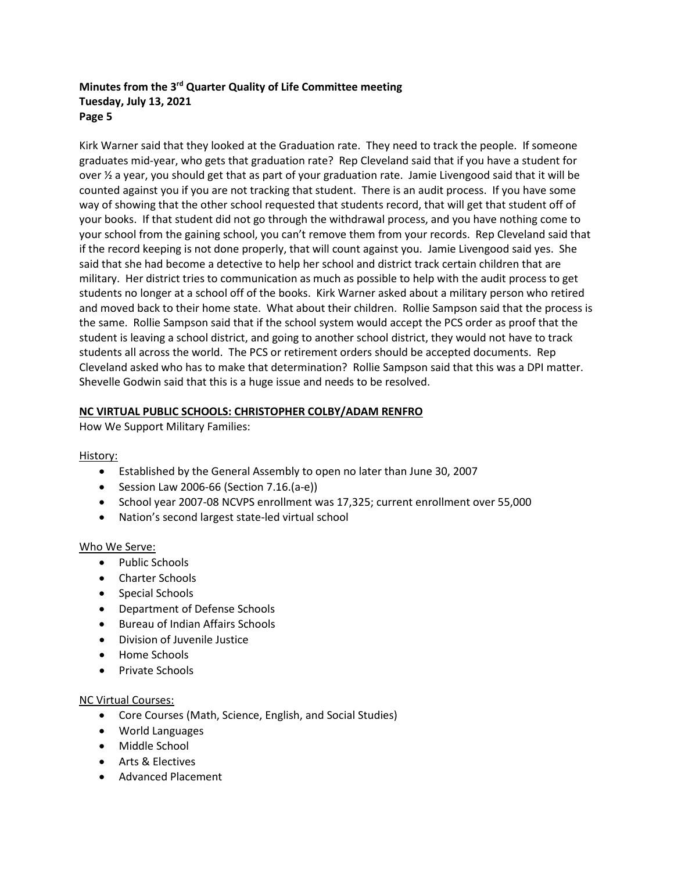Kirk Warner said that they looked at the Graduation rate. They need to track the people. If someone graduates mid-year, who gets that graduation rate? Rep Cleveland said that if you have a student for over ½ a year, you should get that as part of your graduation rate. Jamie Livengood said that it will be counted against you if you are not tracking that student. There is an audit process. If you have some way of showing that the other school requested that students record, that will get that student off of your books. If that student did not go through the withdrawal process, and you have nothing come to your school from the gaining school, you can't remove them from your records. Rep Cleveland said that if the record keeping is not done properly, that will count against you. Jamie Livengood said yes. She said that she had become a detective to help her school and district track certain children that are military. Her district tries to communication as much as possible to help with the audit process to get students no longer at a school off of the books. Kirk Warner asked about a military person who retired and moved back to their home state. What about their children. Rollie Sampson said that the process is the same. Rollie Sampson said that if the school system would accept the PCS order as proof that the student is leaving a school district, and going to another school district, they would not have to track students all across the world. The PCS or retirement orders should be accepted documents. Rep Cleveland asked who has to make that determination? Rollie Sampson said that this was a DPI matter. Shevelle Godwin said that this is a huge issue and needs to be resolved.

# **NC VIRTUAL PUBLIC SCHOOLS: CHRISTOPHER COLBY/ADAM RENFRO**

How We Support Military Families:

# History:

- Established by the General Assembly to open no later than June 30, 2007
- Session Law 2006-66 (Section 7.16.(a-e))
- School year 2007-08 NCVPS enrollment was 17,325; current enrollment over 55,000
- Nation's second largest state-led virtual school

# Who We Serve:

- Public Schools
- Charter Schools
- Special Schools
- Department of Defense Schools
- Bureau of Indian Affairs Schools
- Division of Juvenile Justice
- Home Schools
- Private Schools

# NC Virtual Courses:

- Core Courses (Math, Science, English, and Social Studies)
- World Languages
- Middle School
- Arts & Electives
- Advanced Placement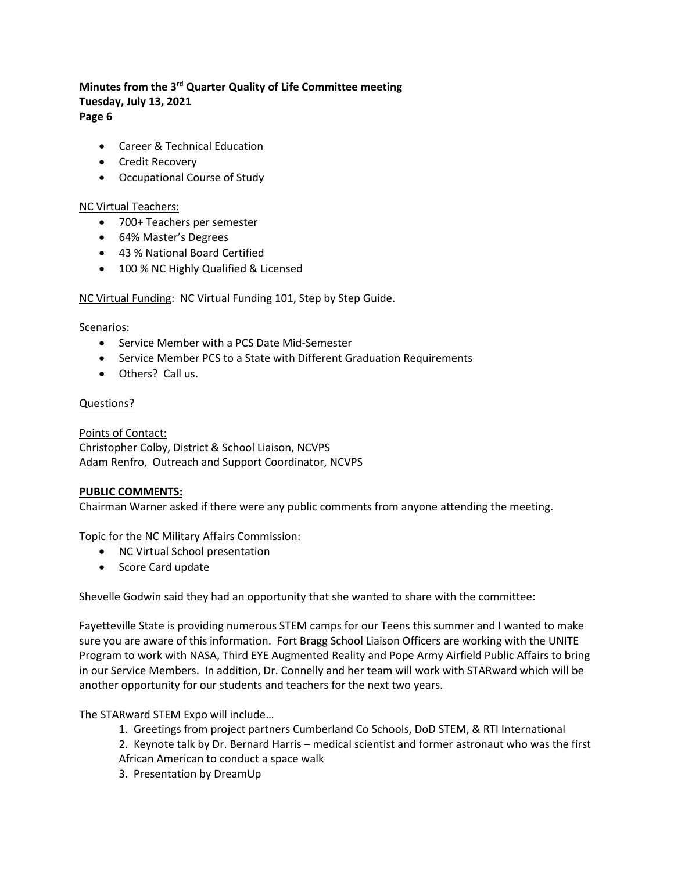- - Career & Technical Education
	- Credit Recovery
	- Occupational Course of Study

#### NC Virtual Teachers:

- 700+ Teachers per semester
- 64% Master's Degrees
- 43 % National Board Certified
- 100 % NC Highly Qualified & Licensed

# NC Virtual Funding: NC Virtual Funding 101, Step by Step Guide.

#### Scenarios:

- Service Member with a PCS Date Mid-Semester
- Service Member PCS to a State with Different Graduation Requirements
- Others? Call us.

#### Questions?

Points of Contact: Christopher Colby, District & School Liaison, NCVPS Adam Renfro, Outreach and Support Coordinator, NCVPS

# **PUBLIC COMMENTS:**

Chairman Warner asked if there were any public comments from anyone attending the meeting.

Topic for the NC Military Affairs Commission:

- NC Virtual School presentation
- Score Card update

Shevelle Godwin said they had an opportunity that she wanted to share with the committee:

Fayetteville State is providing numerous STEM camps for our Teens this summer and I wanted to make sure you are aware of this information. Fort Bragg School Liaison Officers are working with the UNITE Program to work with NASA, Third EYE Augmented Reality and Pope Army Airfield Public Affairs to bring in our Service Members. In addition, Dr. Connelly and her team will work with STARward which will be another opportunity for our students and teachers for the next two years.

The STARward STEM Expo will include…

- 1. Greetings from project partners Cumberland Co Schools, DoD STEM, & RTI International
- 2. Keynote talk by Dr. Bernard Harris medical scientist and former astronaut who was the first
- African American to conduct a space walk
- 3. Presentation by DreamUp